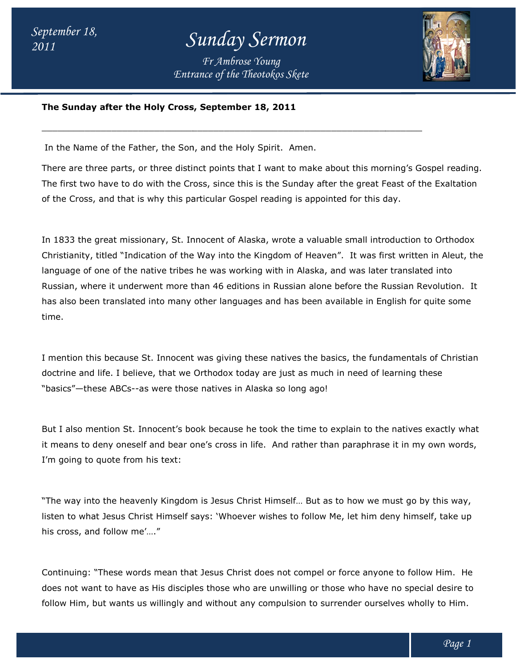*Entrance of the Theotokos Skete Fr Ambrose Young*

 $\overline{\phantom{a}}$  , and the set of the set of the set of the set of the set of the set of the set of the set of the set of the set of the set of the set of the set of the set of the set of the set of the set of the set of the s



#### **The Sunday after the Holy Cross, September 18, 2011 The Sunday after 2011**

In the Name of the Father, the Son, and the Holy Spirit. Amen.

There are three parts, or three distinct points that I want to make about this morning's Gospel reading. The first two have to do with the Cross, since this is the Sunday after the great Feast of the Exaltation of the Cross, and that is why this particular Gospel reading is appointed for this day. There are three parts, or three distinct points that I want to make about this morning's Gosp<br>The first two have to do with the Cross, since this is the Sunday after the great Feast of the<br>of the Cross, and that is why thi

In 1833 the great missionary, St. Innocent of Alaska, wrote a valuable small introduction to Orthodox Christianity, titled "Indication of the Way into the Kingdom of Heaven". It was first written in Aleut, the language of one of the native tribes he was working with in Alaska, and was later translated into Russian, where it underwent more than 46 editions in Russian alone before the Russian Revolution. It has also been translated into many other languages and has been available in English for quite some time. 1833 the great missionary, St. Innocent of Alaska, wrote a valuable small introduction to Orthodox<br>ristianity, titled "Indication of the Way into the Kingdom of Heaven". It was first written in Aleut, the<br>guage of one of t el reading is appointed for this day.<br>Iska, wrote a valuable small introduction to Orthodox<br>Kingdom of Heaven". It was first written in Aleut, the<br>Ing with in Alaska, and was later translated into<br>Ins in Russian alone befo

I mention this because St. Innocent was giving these natives the basics, the fundamentals of Christian I mention this because St. Innocent was giving these natives the basics, the fundamentals of C<br>doctrine and life. I believe, that we Orthodox today are just as much in need of learning these "basics"—these ABCs--as were those natives in Alaska so long ago!

But I also mention St. Innocent's book because he took the time to explain to the natives exactly what it means to deny oneself and bear one's cross in life. And rather than paraphrase it in my own words, I'm going to quote from his text: "basics"—these ABCs--as were those natives in Alaska so long ago!<br>But I also mention St. Innocent's book because he took the time to explain to the natives exactly what<br>it means to deny oneself and bear one's cross in life

"The way into the heavenly Kingdom is Jesus Christ Himself… But as to how we must go by this way, listen to what Jesus Christ Himself says: 'Whoever wishes to follow Me, let him deny himself, take up his cross, and follow me'…."

Continuing: "These words mean that Jesus Christ does not compel or force anyone to follow Him. He does not want to have as His disciples those who are unwilling or those who have no special desire to follow Him, but wants us willingly and without any compulsion to surrender ourselves wholly to Him.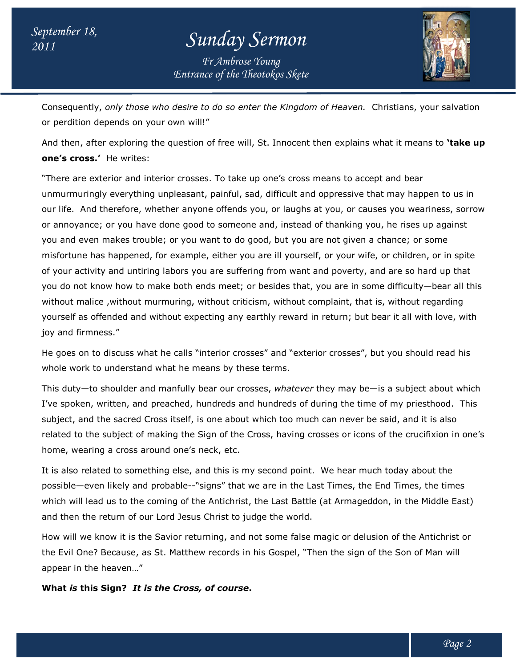*Entrance of the Theotokos Skete Fr Ambrose Young*



Consequently, *only those who desire to do so enter the Kingdom of Heaven.* Christians, your salvation or perdition depends on your own will!"

And then, after exploring the question of free will, St. Innocent then explains what it means to **one's cross.'** He writes: or perdition depends on your own will!"<br>And then, after exploring the question of free will, St. Innocent then explains what it means to **`take u<br>one's cross.'** He writes:<br>"There are exterior and interior crosses. To take **'take up** 

"There are exterior and interior crosses. To take up one's cross means to accept and bear unmurmuringly everything unpleasant, painful, sad, difficult and oppressive that may happen to us in our life. And therefore, whether anyone offends you, or laughs at you, or causes you weariness, sorrow or annoyance; or you have done good to someone and, instead of thanking you, he rises up against you and even makes trouble; or you want to do good, but you are not given a chance; or some misfortune has happened, for example, either you are ill yourself, or your wife, or children, or in spite of your activity and untiring labors you are suffering from want and poverty, and are so hard up that of your activity and untiring labors you are suffering from want and poverty, and are so hard up that<br>you do not know how to make both ends meet; or besides that, you are in some difficulty—bear all this you do not know how to make both ends meet; or besides that, you are in some difficulty—bear all<br>without malice ,without murmuring, without criticism, without complaint, that is, without regarding yourself as offended and without expecting any earthly reward in return; but bear it all with love, with joy and firmness." ife. And therefore, whether anyone offends you, or laughs at you, or causes you weariness, sorrow<br>nnoyance; or you have done good to someone and, instead of thanking you, he rises up against<br>and even makes trouble; or you

He goes on to discuss what he calls "interior crosses" and "exterior crosses", but you should read his whole work to understand what he means by these terms. yourself as offended and without expecting any earthly reward in return; but bear it all with love, with<br>joy and firmness."<br>He goes on to discuss what he calls "interior crosses" and "exterior crosses", but you should read

I've spoken, written, and preached, hundreds and hundreds of during the time of my priesthood. This I've spoken, written, and preached, hundreds and hundreds of during the time of my priesthood.<br>subject, and the sacred Cross itself, is one about which too much can never be said, and it is also related to the subject of making the Sign of the Cross, having crosses or icons of the crucifixion in one's home, wearing a cross around one's neck, etc. I manfully bear our crosses, whatever they may be—is a subject about which<br>preached, hundreds and hundreds of during the time of my priesthood. This<br>oss itself, is one about which too much can never be said, and it is also

It is also related to something else, and this is my second point. We hear much today about the It is also related to something else, and this is my second point. We hear much today about the<br>possible—even likely and probable--"signs" that we are in the Last Times, the End Times, the times which will lead us to the coming of the Antichrist, the Last Battle (at Armageddon, in the Middle East) and then the return of our Lord Jesus Christ to judge the world.

How will we know it is the Savior returning, and not some false magic or delusion of the Antichrist or the Evil One? Because, as St. Matthew records in his Gospel, "Then t he appear in the heaven…" I lead us to the coming of the Antichrist, the Last Battle (at Armageddon, in the Middle East<br>the return of our Lord Jesus Christ to judge the world.<br>we know it is the Savior returning, and not some false magic or delusion

**What is this Sign? It is the Cross, of course.**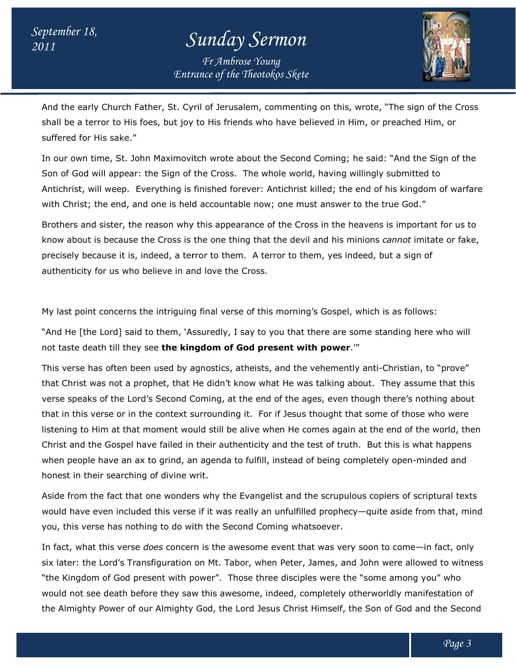*Entrance of the Theotokos Skete Fr Ambrose Young*



And the early Church Father, St. Cyril of Jerusalem, commenting on this, wrote, "The sign of the Cross And the early Church Father, St. Cyril of Jerusalem, commenting on this, wrote, "The sign of the C<br>shall be a terror to His foes, but joy to His friends who have believed in Him, or preached Him, or suffered for His sake."

In our own time, St. John Maximovitch wrote about the Second Coming; he said: "And the Sign of the In our own time, St. John Maximovitch wrote about the Second Coming; he said: "And the Sig<br>Son of God will appear: the Sign of the Cross. The whole world, having willingly submitted to Antichrist, will weep. Everything is finished forever: Antichrist killed; the end of his kingdom of warfare with Christ; the end, and one is held accountable now; one must answer to the true God." ends who have believed in Him, or preached Him, or<br>about the Second Coming; he said: "And the Sign of the<br>i. The whole world, having willingly submitted to<br>orever: Antichrist killed; the end of his kingdom of warfare<br>able

Brothers and sister, the reason why this appearance of the Cross in the heavens is important for us to know about is because the Cross is the one thing that the devil and his minions *cannot* imitate or fake, precisely because it is, indeed, a terror to them. A terror to them, yes indeed, but a sign of authenticity for us who believe in and love the Cross. with Christ; the end, and one is held accountable now; one must answer to the true Go<br>Brothers and sister, the reason why this appearance of the Cross in the heavens is imp<br>know about is because the Cross is the one thing

My last point concerns the intriguing final verse of this morning's Gospel, which is as follows:

My last point concerns the intriguing final verse of this morning's Gospel, which is as follows:<br>"And He [the Lord] said to them, 'Assuredly, I say to you that there are some standing here who will not taste death till they see **the kingdom of God present with power** .'"

This verse has often been used by agnostics, atheists, and the vehemently anti-Christian, to "prove" that Christ was not a prophet, that He didn't know what He was talking about. They assume that this verse speaks of the Lord's Second Coming, at the end of the ages, even though there's nothing about that in this verse or in the context surrounding it. For if Jesus thought that some of those who listening to Him at that moment would still be alive when He comes again at the end of the world, then Christ and the Gospel have failed in their authenticity and the test of truth. But this is what happens when people have an ax to grind, an agenda to fulfill, instead of being completely open-minded and honest in their searching of divine writ. verse speaks of the Lord's Second Coming, at the end of the ages, even though there's nothing about<br>that in this verse or in the context surrounding it. For if Jesus thought that some of those who were<br>listening to Him at hem. A terror to them, yes indeed, but a sign of<br>the Cross.<br>erse of this morning's Gospel, which is as follows:<br>, I say to you that there are some standing here who will<br>of God present with power.'"<br>s, atheists, and the ve

Aside from the fact that one wonders why the Evangelist and the scrupulous copiers of scriptural texts would have even included this verse if it was really an unfulfilled prophecy—quite aside from that, mind you, this verse has nothing to do with the Second Coming whatsoever. would have even included this verse if it was really an unfulfilled prophecy—quite aside from that, min<br>you, this verse has nothing to do with the Second Coming whatsoever.<br>In fact, what this verse *does* concern is the aw their searching of divine writ.<br>1 the fact that one wonders why the Evangelist and the scrupulous copiers of scriptural texts<br>re even included this verse if it was really an unfulfilled prophecy—quite aside from that, mind

six later: the Lord's Transfiguration on Mt. Tabor, when Peter, James, and John were allowed to witness "the Kingdom of God present with power". Those three disciples were the "some among you" who you, this verse has nothing to do with the Second Coming whatsoever.<br>In fact, what this verse *does* concern is the awesome event that was very soon to come—in fact, only<br>six later: the Lord's Transfiguration on Mt. Tabor, the Almighty Power of our Almighty God, the Lord Jesus Christ Himself, the Son of God and the Second